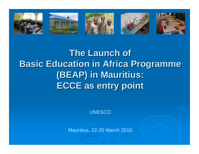

# **The Launch of Basic Education in Africa Programme Basic Education in Africa Programme (BEAP) in Mauritius: (BEAP) in Mauritius: ECCE as entry point ECCE as entry point**

**UNESCO** 

Mauritius, 22-25 March 2010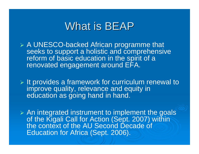## What is BEAP

- ¾ A UNESCO-backed African programme that seeks to support a holistic and comprehensive reform of basic education in the spirit of a renovated engagement around EFA.
- $\triangleright$  It provides a framework for curriculum renewal to improve quality, relevance and equity in education as going hand in hand.
- $\triangleright$  An integrated instrument to implement the goals of the Kigali Call for Action (Sept. 2007) within the context of the AU Second Decade of Education for Africa (Sept. 2006).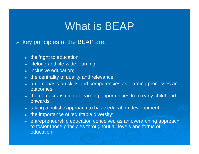# What is BEAP

#### ¾key principles of the BEAP are:

- the 'right to education'
- lifelong and life-wide learning;
- inclusive education;
- the centrality of quality and relevance;
- $\bullet~$  an emphasis on skills and competencies as learning processes and outcomes;
- $\bullet$  the democratisation of learning opportunities from early childhood onwards;
- $\bullet~$  taking a holistic approach to basic education development;
- the importance of 'equitable diversity';
- entrepreneurship education conceived as an overarching approach to foster those principles throughout all levels and forms of education.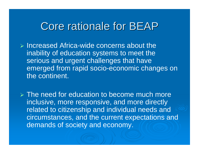# Core rationale for BEAP

- ¾ Increased Africa-wide concerns about the inability of education systems to meet the serious and urgent challenges that have emerged from rapid socio-economic changes on the continent.
- $\triangleright$  The need for education to become much more inclusive, more responsive, and more directly related to citizenship and individual needs and circumstances, and the current expectations and demands of society and economy.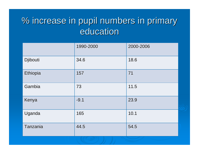## % increase in pupil numbers in primary % increase in pupil numbers in primary education

|          | 1990-2000 | 2000-2006 |
|----------|-----------|-----------|
| Djibouti | 34.6      | 18.6      |
| Ethiopia | 157       | 71        |
| Gambia   | 73        | 11.5      |
| Kenya    | $-9.1$    | 23.9      |
| Uganda   | 165       | 10.1      |
| Tanzania | 44.5      | 54.5      |
|          |           |           |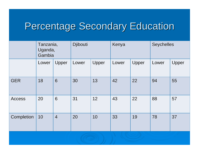# Percentage Secondary Education

|               | Tanzania,<br>Uganda,<br>Gambia |                | Djibouti |       | Kenya |       | <b>Seychelles</b> |       |
|---------------|--------------------------------|----------------|----------|-------|-------|-------|-------------------|-------|
|               | Lower                          | Upper          | Lower    | Upper | Lower | Upper | Lower             | Upper |
| <b>GER</b>    | 18                             | 6              | 30       | 13    | 42    | 22    | 94                | 55    |
| <b>Access</b> | 20                             | 6              | 31       | 12    | 43    | 22    | 88                | 57    |
| Completion    | 10                             | $\overline{4}$ | 20       | 10    | 33    | 19    | 78                | 37    |
|               |                                |                |          |       |       |       |                   |       |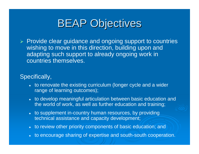# **BEAP Objectives**

¾ Provide clear guidance and ongoing support to countries wishing to move in this direction, building upon and adapting such support to already ongoing work in countries themselves.

### Specifically,

- to renovate the existing curriculum (longer cycle and a wider range of learning outcomes);
- to develop meaningful articulation between basic education and the world of work, as well as further education and training;
- to supplement in-country human resources, by providing technical assistance and capacity development;
- to review other priority components of basic education; and
- to encourage sharing of expertise and south-south cooperation.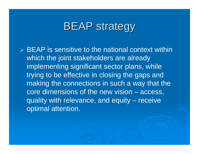# **BEAP strategy**

 $\triangleright$  BEAP is sensitive to the national context within which the joint stakeholders are already implementing significant sector plans, while trying to be effective in closing the gaps and making the connections in such a way that the core dimensions of the new vision – access, quality with relevance, and equity – receive optimal attention.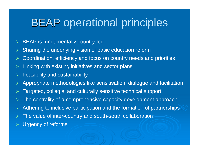# **BEAP** operational principles

- ¾BEAP is fundamentally country-led
- ¾Sharing the underlying vision of basic education reform
- ¾Coordination, efficiency and focus on country needs and priorities
- ¾Linking with existing initiatives and sector plans
- ¾Feasibility and sustainability
- ¾Appropriate methodologies like sensitisation, dialogue and facilitation
- ¾Targeted, collegial and culturally sensitive technical support
- ¾The centrality of a comprehensive capacity development approach
- ¾Adhering to inclusive participation and the formation of partnerships
- ¾The value of inter-country and south-south collaboration
- ¾Urgency of reforms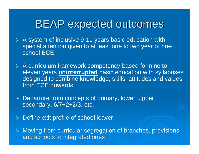# **BEAP expected outcomes**

- ¾ A system of inclusive 9-11 years basic education with special attention given to at least one to two year of preschool ECE
- ¾ A curriculum framework competency-based for nine to eleven years **uninterrupted** basic education with syllabuses designed to combine knowledge, skills, attitudes and values from ECE onwards
- ¾ Departure from concepts of primary, lower, upper secondary, 6/7+2+2/3, etc.
- ¾Define exit profile of school leaver

¾ Moving from curricular segregation of branches, provisions and schools to integrated ones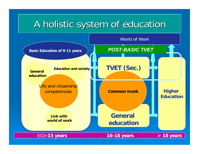## A holistic system of education A holistic system of education

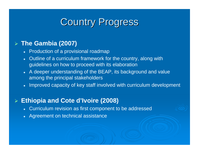### **Country Progress**

### ¾ **The Gambia (2007)**

- Production of a provisional roadmap
- Outline of a curriculum framework for the country, along with guidelines on how to proceed with its elaboration
- A deeper understanding of the BEAP, its background and value among the principal stakeholders
- $\bullet$  Improved capacity of key staff involved with curriculum development

#### ¾**Ethiopia and Cote d'Ivoire (2008)**

- Curriculum revision as first component to be addressed
- Agreement on technical assistance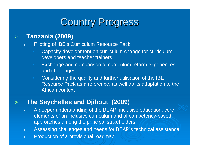## **Country Progress**

### **Tanzania (2009)**

¾

- $\bullet$  Piloting of IBE's Curriculum Resource Pack
	- Capacity development on curriculum change for curriculum developers and teacher trainers
	- Exchange and comparison of curriculum reform experiences and challenges
	- Considering the quality and further utilisation of the IBE Resource Pack as a reference, as well as its adaptation to the African context

### ¾**The Seychelles and Djibouti (2009)**

- $\bullet$  A deeper understanding of the BEAP, inclusive education, core elements of an inclusive curriculum and of competency-based approaches among the principal stakeholders
- $\bullet$ Assessing challenges and needs for BEAP's technical assistance
- $\bullet$ Production of a provisional roadmap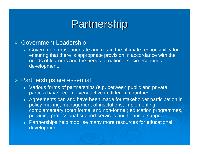# Partnership

#### ¾Government Leadership

• Government must orientate and retain the ultimate responsibility for ensuring that there is appropriate provision in accordance with the needs of learners and the needs of national socio-economic development.

#### ¾Partnerships are essential

- Various forms of partnerships (e.g. between public and private parties) have become very active in different countries
- Agreements can and have been made for stakeholder participation in policy-making, management of institutions, implementing complementary (both formal and non-formal) education programmes, providing professional support services and financial support.
- Partnerships help mobilise many more resources for educational development.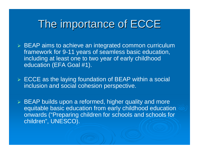# The importance of ECCE

- ¾ BEAP aims to achieve an integrated common curriculum framework for 9-11 years of seamless basic education, including at least one to two year of early childhood education (EFA Goal #1).
- ¾ ECCE as the laying foundation of BEAP within a social inclusion and social cohesion perspective.
- ¾ BEAP builds upon a reformed, higher quality and more equitable basic education from early childhood education onwards ("Preparing children for schools and schools for children", UNESCO).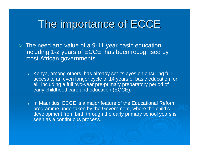# The importance of ECCE

- ¾ The need and value of a 9-11 year basic education, including 1-2 years of ECCE, has been recognised by most African governments.
	- $\bullet$  Kenya, among others, has already set its eyes on ensuring full access to an even longer cycle of 14 years of basic education for all, including a full two-year pre-primary preparatory period of early childhood care and education (ECCE).
	- $\bullet$  In Mauritius, ECCE is a major feature of the Educational Reform programme undertaken by the Government, where the child's development from birth through the early primary school years is seen as a continuous process.